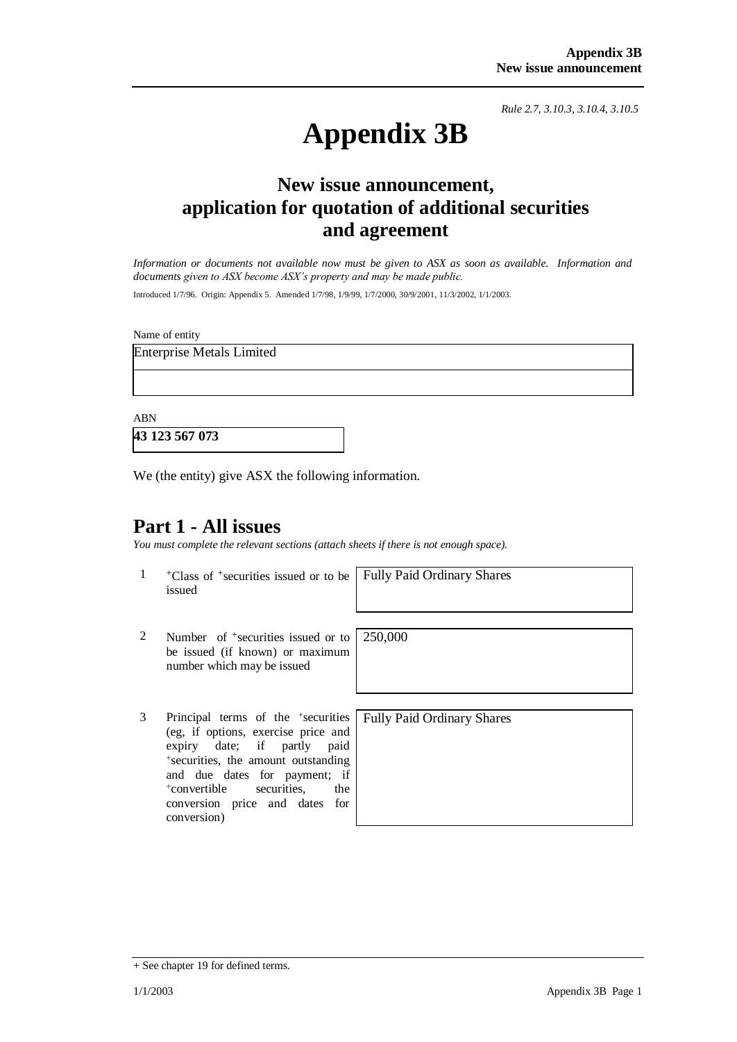*Rule 2.7, 3.10.3, 3.10.4, 3.10.5*

# **Appendix 3B**

# **New issue announcement, application for quotation of additional securities and agreement**

*Information or documents not available now must be given to ASX as soon as available. Information and documents given to ASX become ASX's property and may be made public.*

Introduced 1/7/96. Origin: Appendix 5. Amended 1/7/98, 1/9/99, 1/7/2000, 30/9/2001, 11/3/2002, 1/1/2003.

Name of entity

Enterprise Metals Limited

ABN

**43 123 567 073**

We (the entity) give ASX the following information.

## **Part 1 - All issues**

*You must complete the relevant sections (attach sheets if there is not enough space).*

1 <sup>+</sup>Class of +securities issued or to be issued

Fully Paid Ordinary Shares

- 2 Number of <sup>+</sup>securities issued or to be issued (if known) or maximum number which may be issued 250,000
- 3 Principal terms of the <sup>+</sup>securities (eg, if options, exercise price and expiry date; if partly paid + securities, the amount outstanding and due dates for payment; if <sup>+</sup>convertible securities, the conversion price and dates for conversion)

Fully Paid Ordinary Shares

<sup>+</sup> See chapter 19 for defined terms.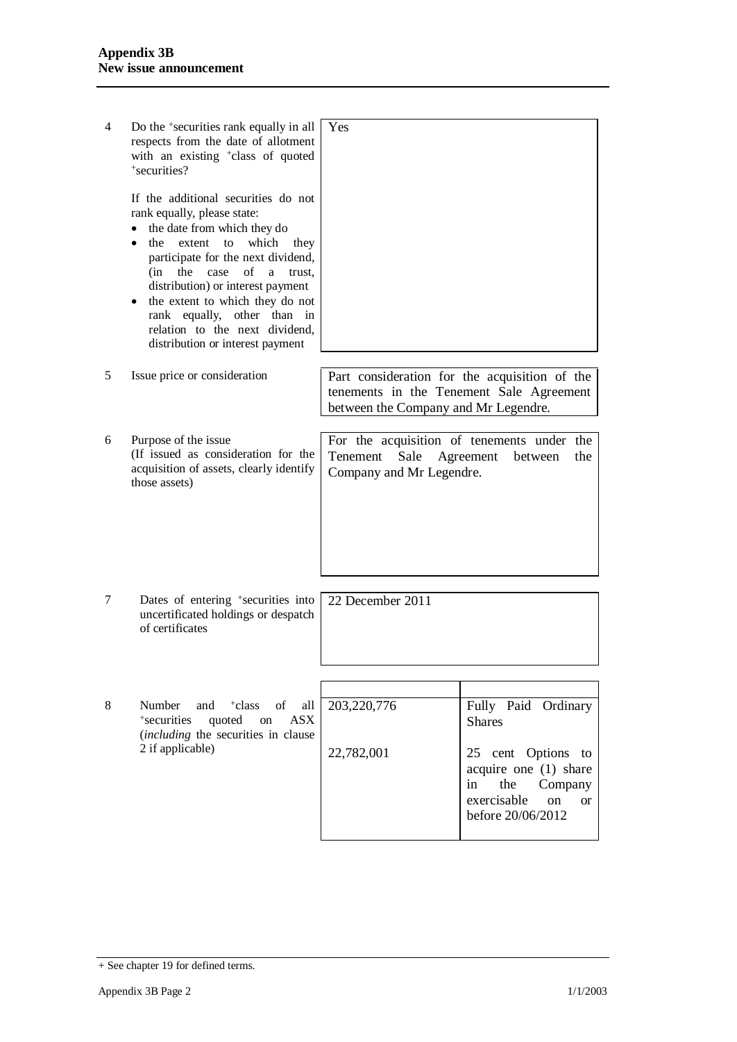| 4 | Do the <sup>+</sup> securities rank equally in all<br>respects from the date of allotment<br>with an existing <sup>+</sup> class of quoted<br>+securities?                                                                                                                                                                                                                                                                | Yes                                                                                                                               |                                                                                                                                   |  |
|---|---------------------------------------------------------------------------------------------------------------------------------------------------------------------------------------------------------------------------------------------------------------------------------------------------------------------------------------------------------------------------------------------------------------------------|-----------------------------------------------------------------------------------------------------------------------------------|-----------------------------------------------------------------------------------------------------------------------------------|--|
|   | If the additional securities do not<br>rank equally, please state:<br>the date from which they do<br>٠<br>which<br>the<br>extent<br>to<br>they<br>$\bullet$<br>participate for the next dividend,<br>of<br>(in<br>the<br>case<br>a<br>trust.<br>distribution) or interest payment<br>the extent to which they do not<br>rank equally, other than in<br>relation to the next dividend,<br>distribution or interest payment |                                                                                                                                   |                                                                                                                                   |  |
| 5 | Issue price or consideration                                                                                                                                                                                                                                                                                                                                                                                              | Part consideration for the acquisition of the<br>tenements in the Tenement Sale Agreement<br>between the Company and Mr Legendre. |                                                                                                                                   |  |
| 6 | Purpose of the issue<br>(If issued as consideration for the<br>acquisition of assets, clearly identify<br>those assets)                                                                                                                                                                                                                                                                                                   | For the acquisition of tenements under the<br>Tenement<br>Sale<br>Company and Mr Legendre.                                        | Agreement<br>the<br>between                                                                                                       |  |
| 7 | Dates of entering <sup>+</sup> securities into<br>uncertificated holdings or despatch<br>of certificates                                                                                                                                                                                                                                                                                                                  | 22 December 2011                                                                                                                  |                                                                                                                                   |  |
|   |                                                                                                                                                                                                                                                                                                                                                                                                                           |                                                                                                                                   |                                                                                                                                   |  |
| 8 | Number<br>and<br><sup>+</sup> class<br>of<br>all<br>quoted<br><b>ASX</b><br>+securities<br>on<br><i>(including the securities in clause)</i><br>2 if applicable)                                                                                                                                                                                                                                                          | 203,220,776                                                                                                                       | Fully Paid Ordinary<br><b>Shares</b>                                                                                              |  |
|   |                                                                                                                                                                                                                                                                                                                                                                                                                           | 22,782,001                                                                                                                        | 25 cent Options<br>to<br>acquire one (1) share<br>in<br>the<br>Company<br>exercisable<br>on<br><sub>or</sub><br>before 20/06/2012 |  |

<sup>+</sup> See chapter 19 for defined terms.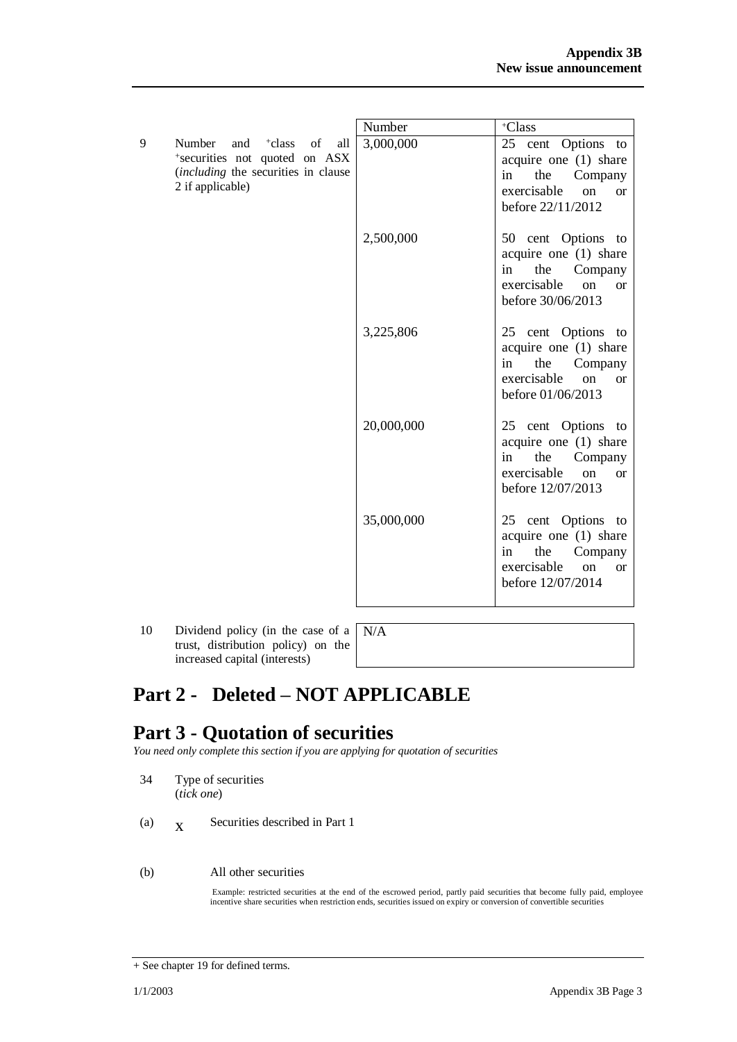|                                                                                                                                                           | Number     | +Class                                                                                                                                  |
|-----------------------------------------------------------------------------------------------------------------------------------------------------------|------------|-----------------------------------------------------------------------------------------------------------------------------------------|
| 9<br>Number<br><sup>+</sup> class<br>of<br>and<br>all<br>*securities not quoted on ASX<br><i>(including the securities in clause)</i><br>2 if applicable) | 3,000,000  | 25 cent Options<br>to<br>acquire one (1) share<br>the<br>in<br>Company<br>exercisable<br><sub>on</sub><br>$\alpha$<br>before 22/11/2012 |
|                                                                                                                                                           | 2,500,000  | 50 cent Options to<br>acquire one (1) share<br>the<br>in<br>Company<br>exercisable<br>$\alpha$<br>$\alpha$<br>before 30/06/2013         |
|                                                                                                                                                           | 3,225,806  | 25 cent Options to<br>acquire one (1) share<br>the<br>in<br>Company<br>exercisable<br>on<br><b>or</b><br>before 01/06/2013              |
|                                                                                                                                                           | 20,000,000 | 25 cent Options to<br>acquire one (1) share<br>the<br>Company<br>in<br>exercisable<br>on<br><b>or</b><br>before 12/07/2013              |
|                                                                                                                                                           | 35,000,000 | 25 cent Options to<br>acquire one (1) share<br>the<br>Company<br>in<br>exercisable<br><sub>on</sub><br><b>or</b><br>before 12/07/2014   |

10 Dividend policy (in the case of a trust, distribution policy) on the increased capital (interests)

N/A

# **Part 2 - Deleted – NOT APPLICABLE**

# **Part 3 - Quotation of securities**

*You need only complete this section if you are applying for quotation of securities*

- 34 Type of securities (*tick one*)
- $(a)$   $X$ Securities described in Part 1
- (b) All other securities

Example: restricted securities at the end of the escrowed period, partly paid securities that become fully paid, employee incentive share securities when restriction ends, securities issued on expiry or conversion of convertible securities

<sup>+</sup> See chapter 19 for defined terms.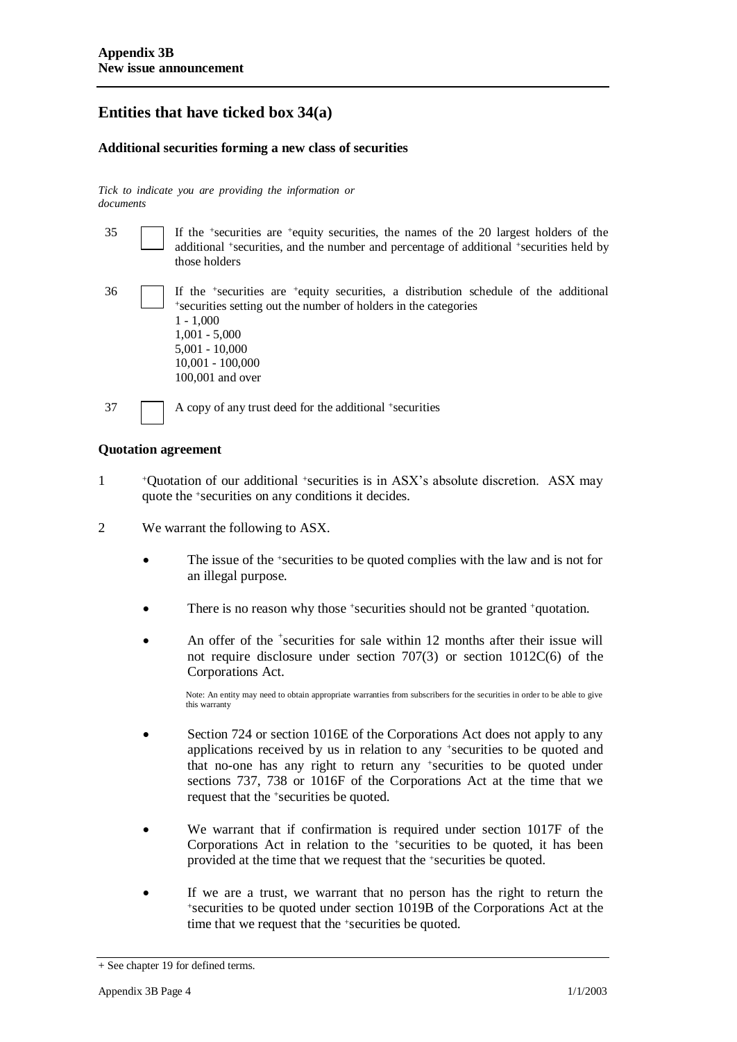## **Entities that have ticked box 34(a)**

## **Additional securities forming a new class of securities**

*Tick to indicate you are providing the information or documents*

| 35 |                                                                                                                                                                                                                                                                                   | If the <sup>+</sup> securities are <sup>+</sup> equity securities, the names of the 20 largest holders of the<br>additional <sup>+</sup> securities, and the number and percentage of additional <sup>+</sup> securities held by<br>those holders |  |
|----|-----------------------------------------------------------------------------------------------------------------------------------------------------------------------------------------------------------------------------------------------------------------------------------|---------------------------------------------------------------------------------------------------------------------------------------------------------------------------------------------------------------------------------------------------|--|
| 36 | If the <sup>+</sup> securities are <sup>+</sup> equity securities, a distribution schedule of the additional<br>*securities setting out the number of holders in the categories<br>$1 - 1,000$<br>$1,001 - 5,000$<br>$5,001 - 10,000$<br>$10,001 - 100,000$<br>$100,001$ and over |                                                                                                                                                                                                                                                   |  |
| 37 |                                                                                                                                                                                                                                                                                   | A copy of any trust deed for the additional +securities                                                                                                                                                                                           |  |

#### **Quotation agreement**

- 1 <sup>+</sup>Quotation of our additional +securities is in ASX's absolute discretion. ASX may quote the +securities on any conditions it decides.
- 2 We warrant the following to ASX.
	- The issue of the +securities to be quoted complies with the law and is not for an illegal purpose.
	- There is no reason why those +securities should not be granted +quotation.
	- An offer of the <sup>+</sup>securities for sale within 12 months after their issue will not require disclosure under section 707(3) or section 1012C(6) of the Corporations Act.

Note: An entity may need to obtain appropriate warranties from subscribers for the securities in order to be able to give this warranty

- Section 724 or section 1016E of the Corporations Act does not apply to any applications received by us in relation to any +securities to be quoted and that no-one has any right to return any +securities to be quoted under sections 737, 738 or 1016F of the Corporations Act at the time that we request that the +securities be quoted.
- We warrant that if confirmation is required under section 1017F of the Corporations Act in relation to the +securities to be quoted, it has been provided at the time that we request that the +securities be quoted.
- If we are a trust, we warrant that no person has the right to return the <sup>+</sup>securities to be quoted under section 1019B of the Corporations Act at the time that we request that the +securities be quoted.

<sup>+</sup> See chapter 19 for defined terms.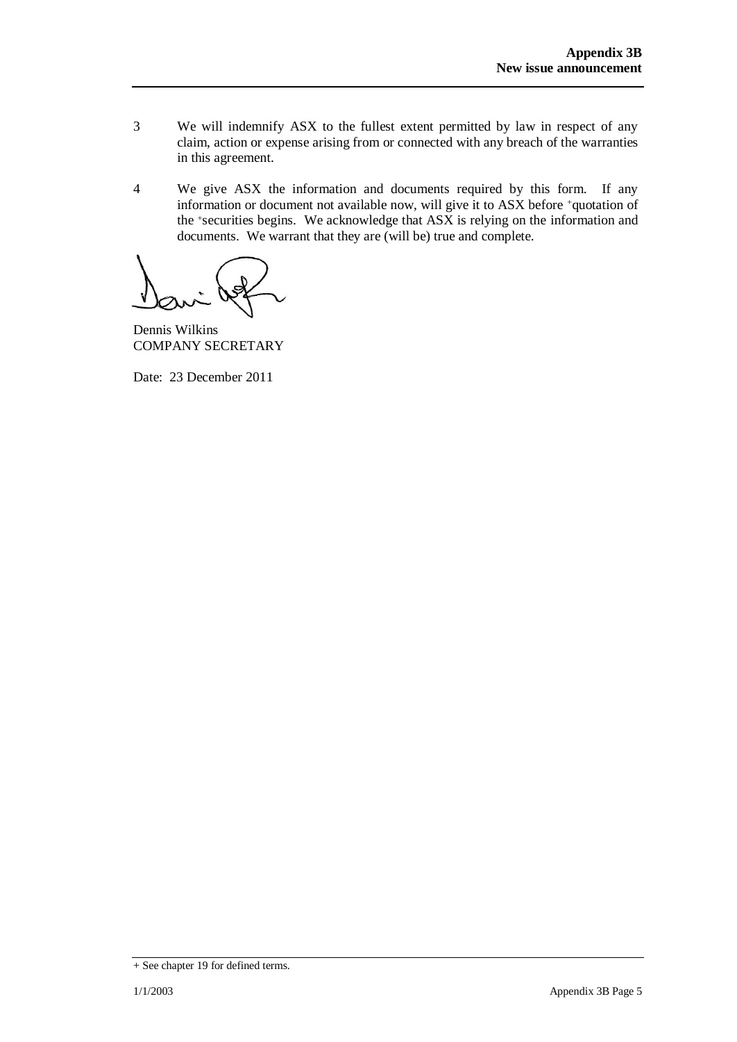- 3 We will indemnify ASX to the fullest extent permitted by law in respect of any claim, action or expense arising from or connected with any breach of the warranties in this agreement.
- 4 We give ASX the information and documents required by this form. If any information or document not available now, will give it to ASX before +quotation of the +securities begins. We acknowledge that ASX is relying on the information and documents. We warrant that they are (will be) true and complete.

Dennis Wilkins COMPANY SECRETARY

Date: 23 December 2011

<sup>+</sup> See chapter 19 for defined terms.